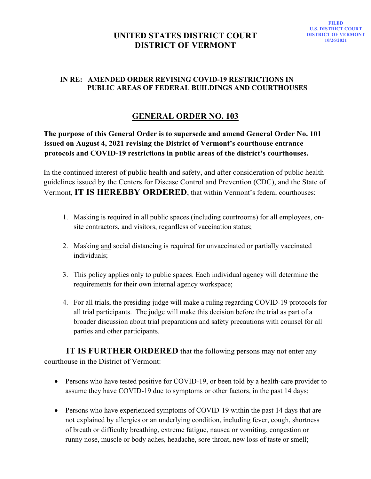## **UNITED STATES DISTRICT COURT DISTRICT OF VERMONT**

## **IN RE: AMENDED ORDER REVISING COVID-19 RESTRICTIONS IN PUBLIC AREAS OF FEDERAL BUILDINGS AND COURTHOUSES**

## **GENERAL ORDER NO. 103**

**The purpose of this General Order is to supersede and amend General Order No. 101 issued on August 4, 2021 revising the District of Vermont's courthouse entrance protocols and COVID-19 restrictions in public areas of the district's courthouses.** 

In the continued interest of public health and safety, and after consideration of public health guidelines issued by the Centers for Disease Control and Prevention (CDC), and the State of Vermont, **IT IS HEREBBY ORDERED**, that within Vermont's federal courthouses:

- 1. Masking is required in all public spaces (including courtrooms) for all employees, onsite contractors, and visitors, regardless of vaccination status;
- 2. Masking and social distancing is required for unvaccinated or partially vaccinated individuals;
- 3. This policy applies only to public spaces. Each individual agency will determine the requirements for their own internal agency workspace;
- 4. For all trials, the presiding judge will make a ruling regarding COVID-19 protocols for all trial participants. The judge will make this decision before the trial as part of a broader discussion about trial preparations and safety precautions with counsel for all parties and other participants.

**IT IS FURTHER ORDERED** that the following persons may not enter any courthouse in the District of Vermont:

- Persons who have tested positive for COVID-19, or been told by a health-care provider to assume they have COVID-19 due to symptoms or other factors, in the past 14 days;
- Persons who have experienced symptoms of COVID-19 within the past 14 days that are not explained by allergies or an underlying condition, including fever, cough, shortness of breath or difficulty breathing, extreme fatigue, nausea or vomiting, congestion or runny nose, muscle or body aches, headache, sore throat, new loss of taste or smell;